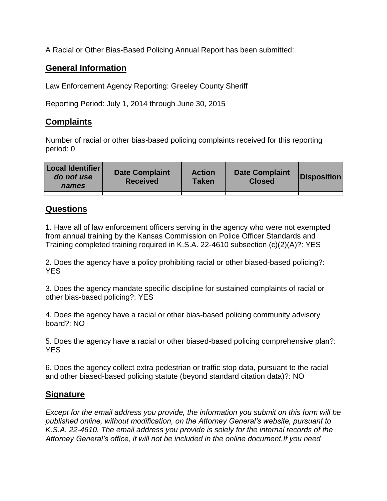A Racial or Other Bias-Based Policing Annual Report has been submitted:

## **General Information**

Law Enforcement Agency Reporting: Greeley County Sheriff

Reporting Period: July 1, 2014 through June 30, 2015

## **Complaints**

Number of racial or other bias-based policing complaints received for this reporting period: 0

| <b>Local Identifier</b><br>do not use<br>names | <b>Date Complaint</b><br><b>Received</b> | <b>Action</b><br><b>Taken</b> | <b>Date Complaint</b><br><b>Closed</b> | Disposition |
|------------------------------------------------|------------------------------------------|-------------------------------|----------------------------------------|-------------|
|                                                |                                          |                               |                                        |             |

## **Questions**

1. Have all of law enforcement officers serving in the agency who were not exempted from annual training by the Kansas Commission on Police Officer Standards and Training completed training required in K.S.A. 22-4610 subsection (c)(2)(A)?: YES

2. Does the agency have a policy prohibiting racial or other biased-based policing?: YES

3. Does the agency mandate specific discipline for sustained complaints of racial or other bias-based policing?: YES

4. Does the agency have a racial or other bias-based policing community advisory board?: NO

5. Does the agency have a racial or other biased-based policing comprehensive plan?: YES

6. Does the agency collect extra pedestrian or traffic stop data, pursuant to the racial and other biased-based policing statute (beyond standard citation data)?: NO

## **Signature**

*Except for the email address you provide, the information you submit on this form will be published online, without modification, on the Attorney General's website, pursuant to K.S.A. 22-4610. The email address you provide is solely for the internal records of the Attorney General's office, it will not be included in the online document.If you need*